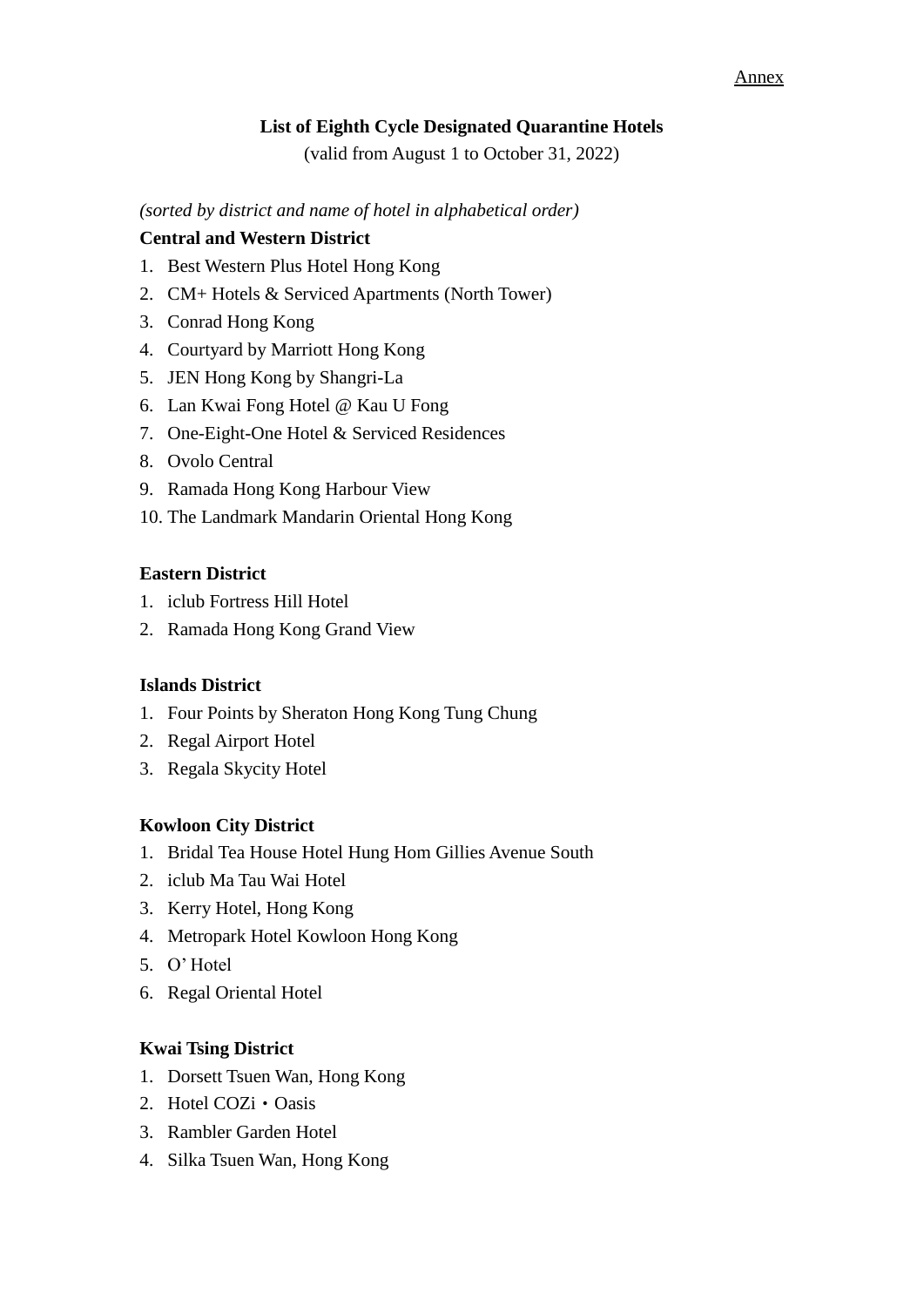#### Annex

## **List of Eighth Cycle Designated Quarantine Hotels**

(valid from August 1 to October 31, 2022)

*(sorted by district and name of hotel in alphabetical order)*

### **Central and Western District**

- 1. Best Western Plus Hotel Hong Kong
- 2. CM+ Hotels & Serviced Apartments (North Tower)
- 3. Conrad Hong Kong
- 4. Courtyard by Marriott Hong Kong
- 5. JEN Hong Kong by Shangri-La
- 6. Lan Kwai Fong Hotel @ Kau U Fong
- 7. One-Eight-One Hotel & Serviced Residences
- 8. Ovolo Central
- 9. Ramada Hong Kong Harbour View
- 10. The Landmark Mandarin Oriental Hong Kong

### **Eastern District**

- 1. iclub Fortress Hill Hotel
- 2. Ramada Hong Kong Grand View

### **Islands District**

- 1. Four Points by Sheraton Hong Kong Tung Chung
- 2. Regal Airport Hotel
- 3. Regala Skycity Hotel

### **Kowloon City District**

- 1. Bridal Tea House Hotel Hung Hom Gillies Avenue South
- 2. iclub Ma Tau Wai Hotel
- 3. Kerry Hotel, Hong Kong
- 4. Metropark Hotel Kowloon Hong Kong
- 5. O' Hotel
- 6. Regal Oriental Hotel

### **Kwai Tsing District**

- 1. Dorsett Tsuen Wan, Hong Kong
- 2. Hotel COZi · Oasis
- 3. Rambler Garden Hotel
- 4. Silka Tsuen Wan, Hong Kong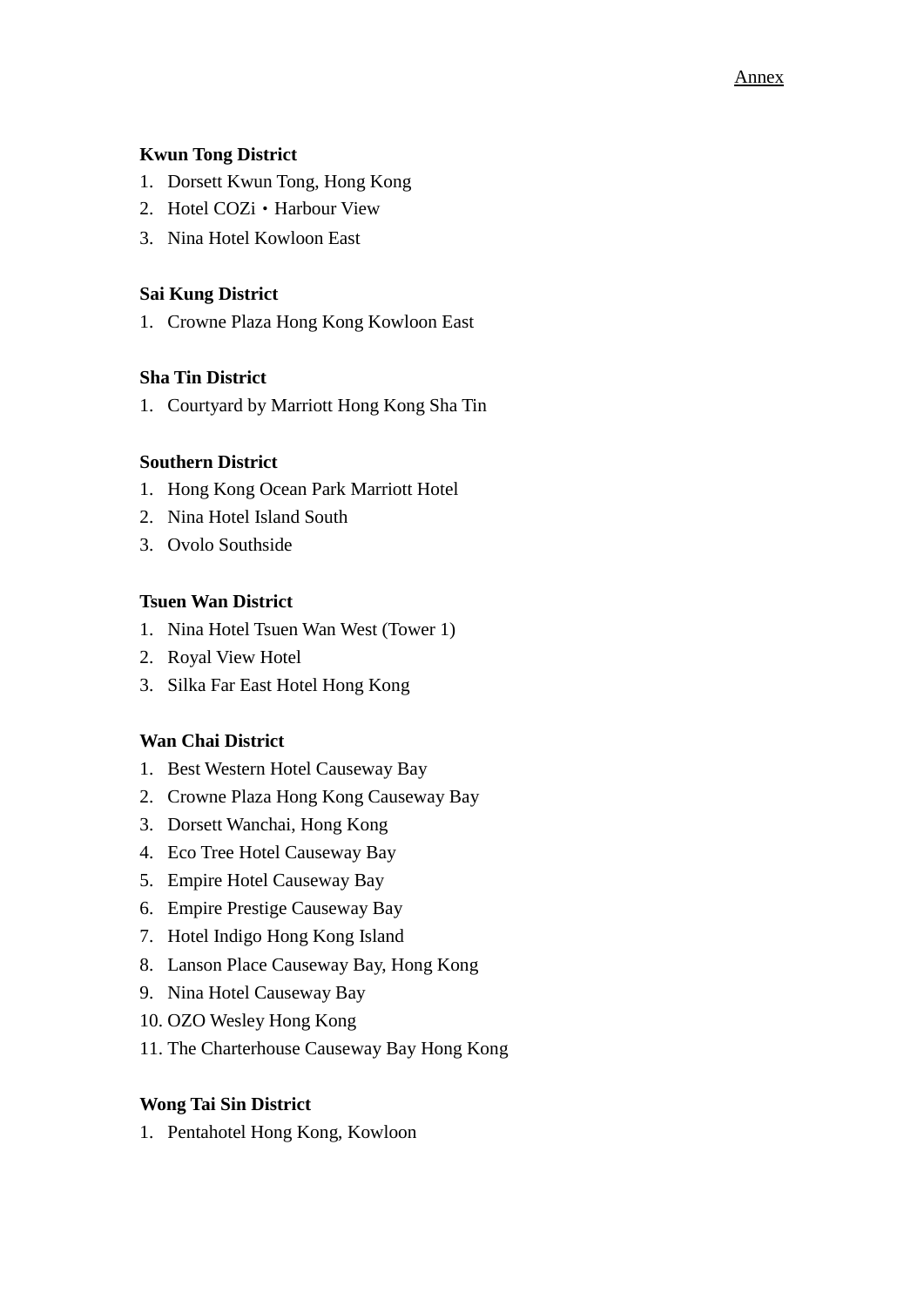#### Annex

# **Kwun Tong District**

- 1. Dorsett Kwun Tong, Hong Kong
- 2. Hotel COZi · Harbour View
- 3. Nina Hotel Kowloon East

# **Sai Kung District**

1. Crowne Plaza Hong Kong Kowloon East

## **Sha Tin District**

1. Courtyard by Marriott Hong Kong Sha Tin

## **Southern District**

- 1. Hong Kong Ocean Park Marriott Hotel
- 2. Nina Hotel Island South
- 3. Ovolo Southside

### **Tsuen Wan District**

- 1. Nina Hotel Tsuen Wan West (Tower 1)
- 2. Royal View Hotel
- 3. Silka Far East Hotel Hong Kong

### **Wan Chai District**

- 1. Best Western Hotel Causeway Bay
- 2. Crowne Plaza Hong Kong Causeway Bay
- 3. Dorsett Wanchai, Hong Kong
- 4. Eco Tree Hotel Causeway Bay
- 5. Empire Hotel Causeway Bay
- 6. Empire Prestige Causeway Bay
- 7. Hotel Indigo Hong Kong Island
- 8. Lanson Place Causeway Bay, Hong Kong
- 9. Nina Hotel Causeway Bay
- 10. OZO Wesley Hong Kong
- 11. The Charterhouse Causeway Bay Hong Kong

### **Wong Tai Sin District**

1. Pentahotel Hong Kong, Kowloon